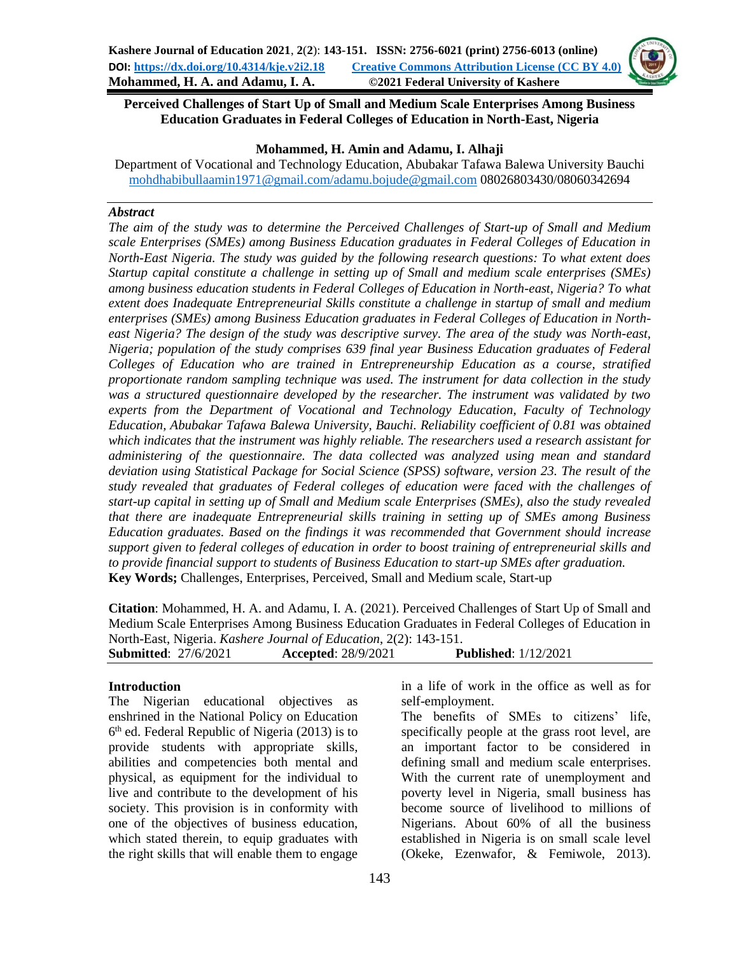

#### **Mohammed, H. Amin and Adamu, I. Alhaji**

Department of Vocational and Technology Education, Abubakar Tafawa Balewa University Bauchi [mohdhabibullaamin1971@gmail.com/adamu.bojude@gmail.com](mailto:mohdhabibullaamin1971@gmail.com/adamu.bojude@gmail.com) 08026803430/08060342694

#### *Abstract*

*The aim of the study was to determine the Perceived Challenges of Start-up of Small and Medium scale Enterprises (SMEs) among Business Education graduates in Federal Colleges of Education in North-East Nigeria. The study was guided by the following research questions: To what extent does Startup capital constitute a challenge in setting up of Small and medium scale enterprises (SMEs) among business education students in Federal Colleges of Education in North-east, Nigeria? To what extent does Inadequate Entrepreneurial Skills constitute a challenge in startup of small and medium enterprises (SMEs) among Business Education graduates in Federal Colleges of Education in Northeast Nigeria? The design of the study was descriptive survey. The area of the study was North-east, Nigeria; population of the study comprises 639 final year Business Education graduates of Federal Colleges of Education who are trained in Entrepreneurship Education as a course, stratified proportionate random sampling technique was used. The instrument for data collection in the study was a structured questionnaire developed by the researcher. The instrument was validated by two experts from the Department of Vocational and Technology Education, Faculty of Technology Education, Abubakar Tafawa Balewa University, Bauchi. Reliability coefficient of 0.81 was obtained which indicates that the instrument was highly reliable. The researchers used a research assistant for administering of the questionnaire. The data collected was analyzed using mean and standard deviation using Statistical Package for Social Science (SPSS) software, version 23. The result of the study revealed that graduates of Federal colleges of education were faced with the challenges of start-up capital in setting up of Small and Medium scale Enterprises (SMEs), also the study revealed that there are inadequate Entrepreneurial skills training in setting up of SMEs among Business Education graduates. Based on the findings it was recommended that Government should increase support given to federal colleges of education in order to boost training of entrepreneurial skills and to provide financial support to students of Business Education to start-up SMEs after graduation.* **Key Words;** Challenges, Enterprises, Perceived, Small and Medium scale, Start-up

**Citation**: Mohammed, H. A. and Adamu, I. A. (2021). Perceived Challenges of Start Up of Small and Medium Scale Enterprises Among Business Education Graduates in Federal Colleges of Education in North-East, Nigeria. *Kashere Journal of Education*, 2(2): 143-151.

| <b>Submitted: 27/6/2021</b> | <b>Accepted: 28/9/2021</b> | <b>Published:</b> 1/12/2021 |
|-----------------------------|----------------------------|-----------------------------|
|                             |                            |                             |

#### **Introduction**

The Nigerian educational objectives as enshrined in the National Policy on Education 6<sup>th</sup> ed. Federal Republic of Nigeria (2013) is to provide students with appropriate skills, abilities and competencies both mental and physical, as equipment for the individual to live and contribute to the development of his society. This provision is in conformity with one of the objectives of business education, which stated therein, to equip graduates with the right skills that will enable them to engage

in a life of work in the office as well as for self-employment.

The benefits of SMEs to citizens' life, specifically people at the grass root level, are an important factor to be considered in defining small and medium scale enterprises. With the current rate of unemployment and poverty level in Nigeria, small business has become source of livelihood to millions of Nigerians. About 60% of all the business established in Nigeria is on small scale level (Okeke, Ezenwafor, & Femiwole, 2013).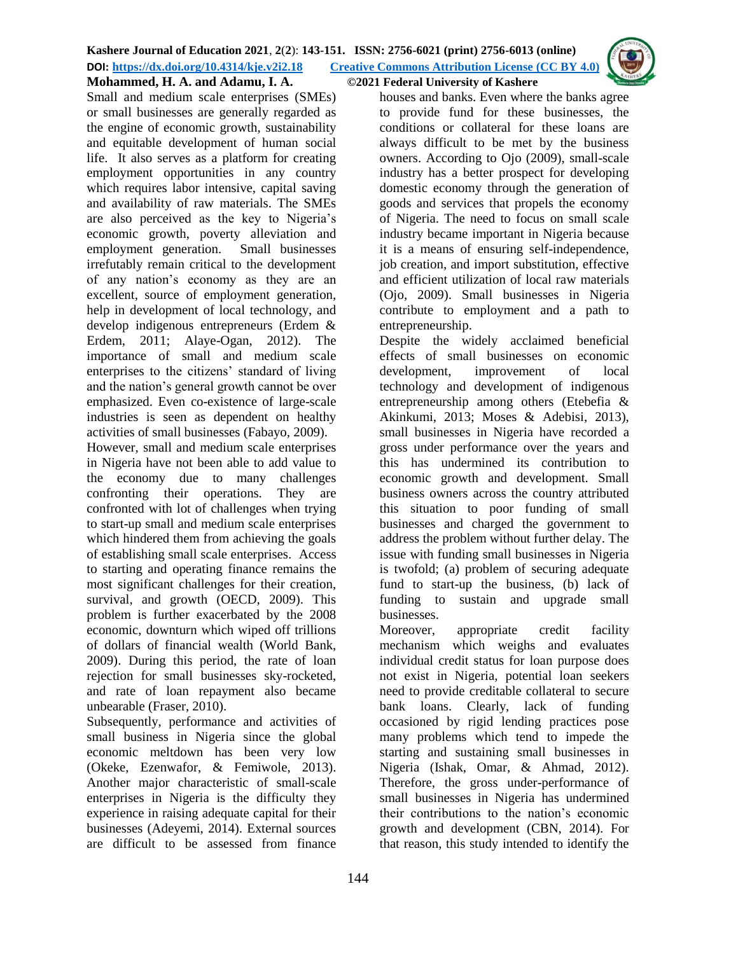

**Mohammed, H. A. and Adamu, I. A. ©2021 Federal University of Kashere**

Small and medium scale enterprises (SMEs) or small businesses are generally regarded as the engine of economic growth, sustainability and equitable development of human social life. It also serves as a platform for creating employment opportunities in any country which requires labor intensive, capital saving and availability of raw materials. The SMEs are also perceived as the key to Nigeria's economic growth, poverty alleviation and employment generation. Small businesses irrefutably remain critical to the development of any nation's economy as they are an excellent, source of employment generation, help in development of local technology, and develop indigenous entrepreneurs (Erdem & Erdem, 2011; Alaye-Ogan, 2012). The importance of small and medium scale enterprises to the citizens' standard of living and the nation's general growth cannot be over emphasized. Even co-existence of large-scale industries is seen as dependent on healthy activities of small businesses (Fabayo, 2009).

However, small and medium scale enterprises in Nigeria have not been able to add value to the economy due to many challenges confronting their operations. They are confronted with lot of challenges when trying to start-up small and medium scale enterprises which hindered them from achieving the goals of establishing small scale enterprises. Access to starting and operating finance remains the most significant challenges for their creation, survival, and growth (OECD, 2009). This problem is further exacerbated by the 2008 economic, downturn which wiped off trillions of dollars of financial wealth (World Bank, 2009). During this period, the rate of loan rejection for small businesses sky-rocketed, and rate of loan repayment also became unbearable (Fraser, 2010).

Subsequently, performance and activities of small business in Nigeria since the global economic meltdown has been very low (Okeke, Ezenwafor, & Femiwole, 2013). Another major characteristic of small-scale enterprises in Nigeria is the difficulty they experience in raising adequate capital for their businesses (Adeyemi, 2014). External sources are difficult to be assessed from finance

houses and banks. Even where the banks agree to provide fund for these businesses, the conditions or collateral for these loans are always difficult to be met by the business owners. According to Ojo (2009), small-scale industry has a better prospect for developing domestic economy through the generation of goods and services that propels the economy of Nigeria. The need to focus on small scale industry became important in Nigeria because it is a means of ensuring self-independence, job creation, and import substitution, effective and efficient utilization of local raw materials (Ojo, 2009). Small businesses in Nigeria contribute to employment and a path to entrepreneurship.

Despite the widely acclaimed beneficial effects of small businesses on economic development, improvement of local technology and development of indigenous entrepreneurship among others (Etebefia & Akinkumi, 2013; Moses & Adebisi, 2013), small businesses in Nigeria have recorded a gross under performance over the years and this has undermined its contribution to economic growth and development. Small business owners across the country attributed this situation to poor funding of small businesses and charged the government to address the problem without further delay. The issue with funding small businesses in Nigeria is twofold; (a) problem of securing adequate fund to start-up the business, (b) lack of funding to sustain and upgrade small businesses.

Moreover, appropriate credit facility mechanism which weighs and evaluates individual credit status for loan purpose does not exist in Nigeria, potential loan seekers need to provide creditable collateral to secure bank loans. Clearly, lack of funding occasioned by rigid lending practices pose many problems which tend to impede the starting and sustaining small businesses in Nigeria (Ishak, Omar, & Ahmad, 2012). Therefore, the gross under-performance of small businesses in Nigeria has undermined their contributions to the nation's economic growth and development (CBN, 2014). For that reason, this study intended to identify the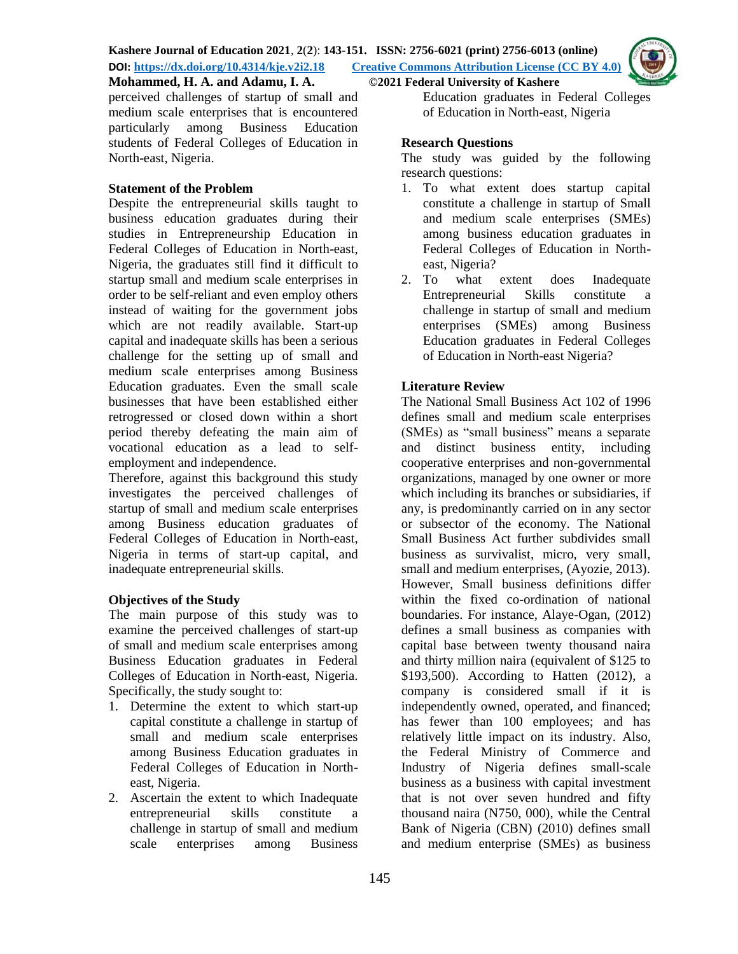

# **Mohammed, H. A. and Adamu, I. A. ©2021 Federal University of Kashere**

perceived challenges of startup of small and medium scale enterprises that is encountered particularly among Business Education students of Federal Colleges of Education in North-east, Nigeria.

#### **Statement of the Problem**

Despite the entrepreneurial skills taught to business education graduates during their studies in Entrepreneurship Education in Federal Colleges of Education in North-east, Nigeria, the graduates still find it difficult to startup small and medium scale enterprises in order to be self-reliant and even employ others instead of waiting for the government jobs which are not readily available. Start-up capital and inadequate skills has been a serious challenge for the setting up of small and medium scale enterprises among Business Education graduates. Even the small scale businesses that have been established either retrogressed or closed down within a short period thereby defeating the main aim of vocational education as a lead to selfemployment and independence.

Therefore, against this background this study investigates the perceived challenges of startup of small and medium scale enterprises among Business education graduates of Federal Colleges of Education in North-east, Nigeria in terms of start-up capital, and inadequate entrepreneurial skills.

## **Objectives of the Study**

The main purpose of this study was to examine the perceived challenges of start-up of small and medium scale enterprises among Business Education graduates in Federal Colleges of Education in North-east, Nigeria. Specifically, the study sought to:

- 1. Determine the extent to which start-up capital constitute a challenge in startup of small and medium scale enterprises among Business Education graduates in Federal Colleges of Education in Northeast, Nigeria.
- 2. Ascertain the extent to which Inadequate entrepreneurial skills constitute a challenge in startup of small and medium scale enterprises among Business

Education graduates in Federal Colleges of Education in North-east, Nigeria

## **Research Questions**

The study was guided by the following research questions:

- 1. To what extent does startup capital constitute a challenge in startup of Small and medium scale enterprises (SMEs) among business education graduates in Federal Colleges of Education in Northeast, Nigeria?
- 2. To what extent does Inadequate Entrepreneurial Skills constitute a challenge in startup of small and medium enterprises (SMEs) among Business Education graduates in Federal Colleges of Education in North-east Nigeria?

# **Literature Review**

The National Small Business Act 102 of 1996 defines small and medium scale enterprises (SMEs) as "small business" means a separate and distinct business entity, including cooperative enterprises and non-governmental organizations, managed by one owner or more which including its branches or subsidiaries, if any, is predominantly carried on in any sector or subsector of the economy. The National Small Business Act further subdivides small business as survivalist, micro, very small, small and medium enterprises, (Ayozie, 2013). However, Small business definitions differ within the fixed co-ordination of national boundaries. For instance, Alaye-Ogan, (2012) defines a small business as companies with capital base between twenty thousand naira and thirty million naira (equivalent of \$125 to \$193,500). According to Hatten (2012), a company is considered small if it is independently owned, operated, and financed; has fewer than 100 employees; and has relatively little impact on its industry. Also, the Federal Ministry of Commerce and Industry of Nigeria defines small-scale business as a business with capital investment that is not over seven hundred and fifty thousand naira (N750, 000), while the Central Bank of Nigeria (CBN) (2010) defines small and medium enterprise (SMEs) as business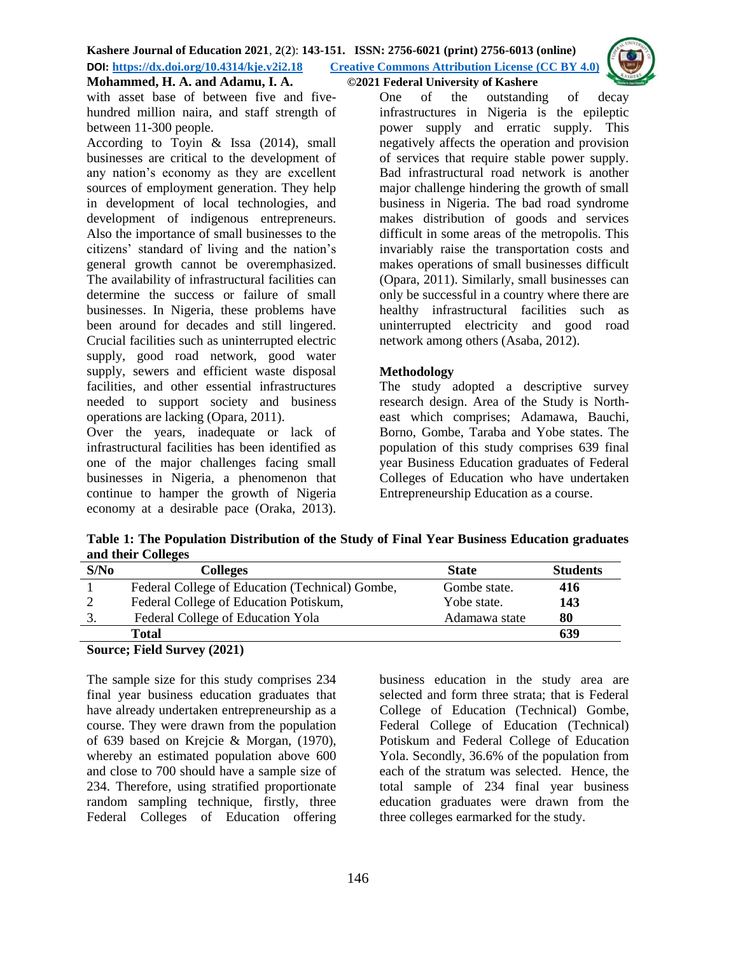

with asset base of between five and fivehundred million naira, and staff strength of between 11-300 people.

According to Toyin & Issa (2014), small businesses are critical to the development of any nation's economy as they are excellent sources of employment generation. They help in development of local technologies, and development of indigenous entrepreneurs. Also the importance of small businesses to the citizens' standard of living and the nation's general growth cannot be overemphasized. The availability of infrastructural facilities can determine the success or failure of small businesses. In Nigeria, these problems have been around for decades and still lingered. Crucial facilities such as uninterrupted electric supply, good road network, good water supply, sewers and efficient waste disposal facilities, and other essential infrastructures needed to support society and business operations are lacking (Opara, 2011).

Over the years, inadequate or lack of infrastructural facilities has been identified as one of the major challenges facing small businesses in Nigeria, a phenomenon that continue to hamper the growth of Nigeria economy at a desirable pace (Oraka, 2013). One of the outstanding of decay infrastructures in Nigeria is the epileptic power supply and erratic supply. This negatively affects the operation and provision of services that require stable power supply. Bad infrastructural road network is another major challenge hindering the growth of small business in Nigeria. The bad road syndrome makes distribution of goods and services difficult in some areas of the metropolis. This invariably raise the transportation costs and makes operations of small businesses difficult (Opara, 2011). Similarly, small businesses can only be successful in a country where there are healthy infrastructural facilities such as uninterrupted electricity and good road network among others (Asaba, 2012).

# **Methodology**

The study adopted a descriptive survey research design. Area of the Study is Northeast which comprises; Adamawa, Bauchi, Borno, Gombe, Taraba and Yobe states. The population of this study comprises 639 final year Business Education graduates of Federal Colleges of Education who have undertaken Entrepreneurship Education as a course.

**Table 1: The Population Distribution of the Study of Final Year Business Education graduates and their Colleges** 

| S/No | <b>Colleges</b>                                 | <b>State</b>  | <b>Students</b> |
|------|-------------------------------------------------|---------------|-----------------|
|      | Federal College of Education (Technical) Gombe, | Gombe state.  | 416             |
|      | Federal College of Education Potiskum,          | Yobe state.   | 143             |
|      | Federal College of Education Yola               | Adamawa state | 80              |
|      | Total                                           |               | 639             |

## **Source; Field Survey (2021)**

The sample size for this study comprises 234 final year business education graduates that have already undertaken entrepreneurship as a course. They were drawn from the population of 639 based on Krejcie & Morgan, (1970), whereby an estimated population above 600 and close to 700 should have a sample size of 234. Therefore, using stratified proportionate random sampling technique, firstly, three Federal Colleges of Education offering business education in the study area are selected and form three strata; that is Federal College of Education (Technical) Gombe, Federal College of Education (Technical) Potiskum and Federal College of Education Yola. Secondly, 36.6% of the population from each of the stratum was selected. Hence, the total sample of 234 final year business education graduates were drawn from the three colleges earmarked for the study.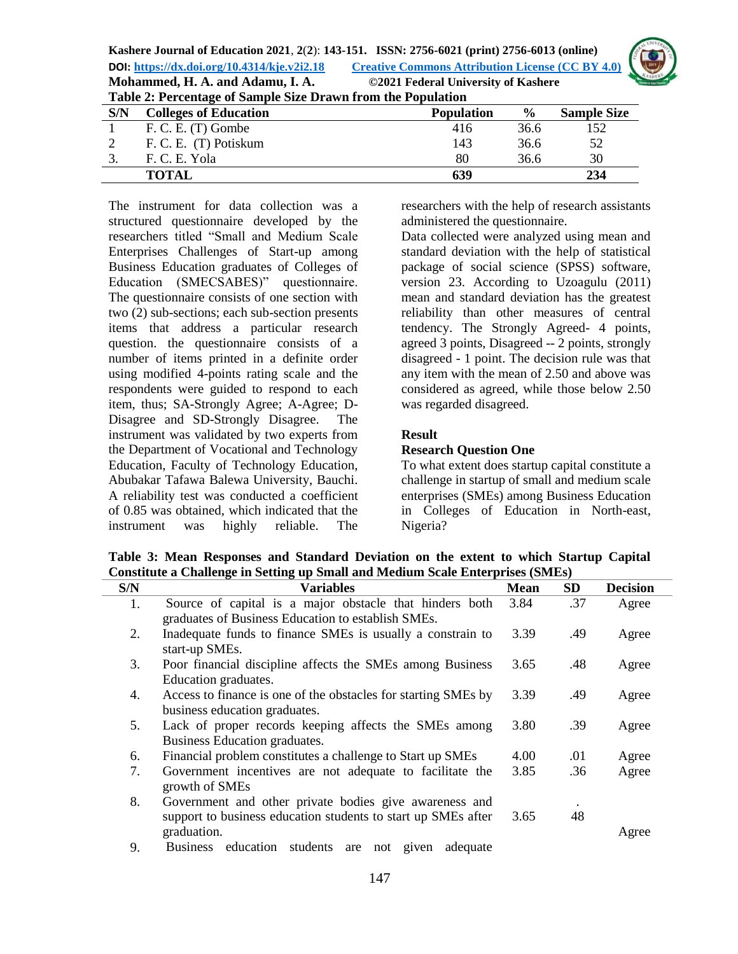

|                                                              | Mohammed, H. A. and Adamu, I. A. | ©2021 Federal University of Kashere |               |                    |
|--------------------------------------------------------------|----------------------------------|-------------------------------------|---------------|--------------------|
| Table 2: Percentage of Sample Size Drawn from the Population |                                  |                                     |               |                    |
| S/N                                                          | <b>Colleges of Education</b>     | <b>Population</b>                   | $\frac{6}{9}$ | <b>Sample Size</b> |
|                                                              | F. C. E. (T) Gombe               | 416                                 | 36.6          | 152                |
|                                                              | F. C. E. (T) Potiskum            | 143                                 | 36.6          | 52                 |
| 3.                                                           | F. C. E. Yola                    | 80                                  | 36.6          | 30                 |
|                                                              | <b>TOTAL</b>                     | 639                                 |               | 234                |

The instrument for data collection was a structured questionnaire developed by the researchers titled "Small and Medium Scale Enterprises Challenges of Start-up among Business Education graduates of Colleges of Education (SMECSABES)" questionnaire. The questionnaire consists of one section with two (2) sub-sections; each sub-section presents items that address a particular research question. the questionnaire consists of a number of items printed in a definite order using modified 4-points rating scale and the respondents were guided to respond to each item, thus; SA-Strongly Agree; A-Agree; D-Disagree and SD-Strongly Disagree. The instrument was validated by two experts from the Department of Vocational and Technology Education, Faculty of Technology Education, Abubakar Tafawa Balewa University, Bauchi. A reliability test was conducted a coefficient of 0.85 was obtained, which indicated that the instrument was highly reliable. The researchers with the help of research assistants administered the questionnaire.

Data collected were analyzed using mean and standard deviation with the help of statistical package of social science (SPSS) software, version 23. According to Uzoagulu (2011) mean and standard deviation has the greatest reliability than other measures of central tendency. The Strongly Agreed- 4 points, agreed 3 points, Disagreed -- 2 points, strongly disagreed - 1 point. The decision rule was that any item with the mean of 2.50 and above was considered as agreed, while those below 2.50 was regarded disagreed.

## **Result**

#### **Research Question One**

To what extent does startup capital constitute a challenge in startup of small and medium scale enterprises (SMEs) among Business Education in Colleges of Education in North-east, Nigeria?

**Table 3: Mean Responses and Standard Deviation on the extent to which Startup Capital Constitute a Challenge in Setting up Small and Medium Scale Enterprises (SMEs)**

| S/N | Variables                                                      | <b>Mean</b> | <b>SD</b> | <b>Decision</b> |
|-----|----------------------------------------------------------------|-------------|-----------|-----------------|
| 1.  | Source of capital is a major obstacle that hinders both        | 3.84        | .37       | Agree           |
|     | graduates of Business Education to establish SMEs.             |             |           |                 |
| 2.  | Inadequate funds to finance SMEs is usually a constrain to     | 3.39        | .49       | Agree           |
|     | start-up SMEs.                                                 |             |           |                 |
| 3.  | Poor financial discipline affects the SMEs among Business      | 3.65        | .48       | Agree           |
|     | Education graduates.                                           |             |           |                 |
| 4.  | Access to finance is one of the obstacles for starting SMEs by | 3.39        | .49       | Agree           |
|     | business education graduates.                                  |             |           |                 |
| 5.  | Lack of proper records keeping affects the SMEs among          | 3.80        | .39       | Agree           |
|     | Business Education graduates.                                  |             |           |                 |
| 6.  | Financial problem constitutes a challenge to Start up SMEs     | 4.00        | .01       | Agree           |
| 7.  | Government incentives are not adequate to facilitate the       | 3.85        | .36       | Agree           |
|     | growth of SMEs                                                 |             |           |                 |
| 8.  | Government and other private bodies give awareness and         |             |           |                 |
|     | support to business education students to start up SMEs after  | 3.65        | 48        |                 |
|     | graduation.                                                    |             |           | Agree           |
| 9.  | Business education<br>students<br>not given<br>adequate<br>are |             |           |                 |
|     |                                                                |             |           |                 |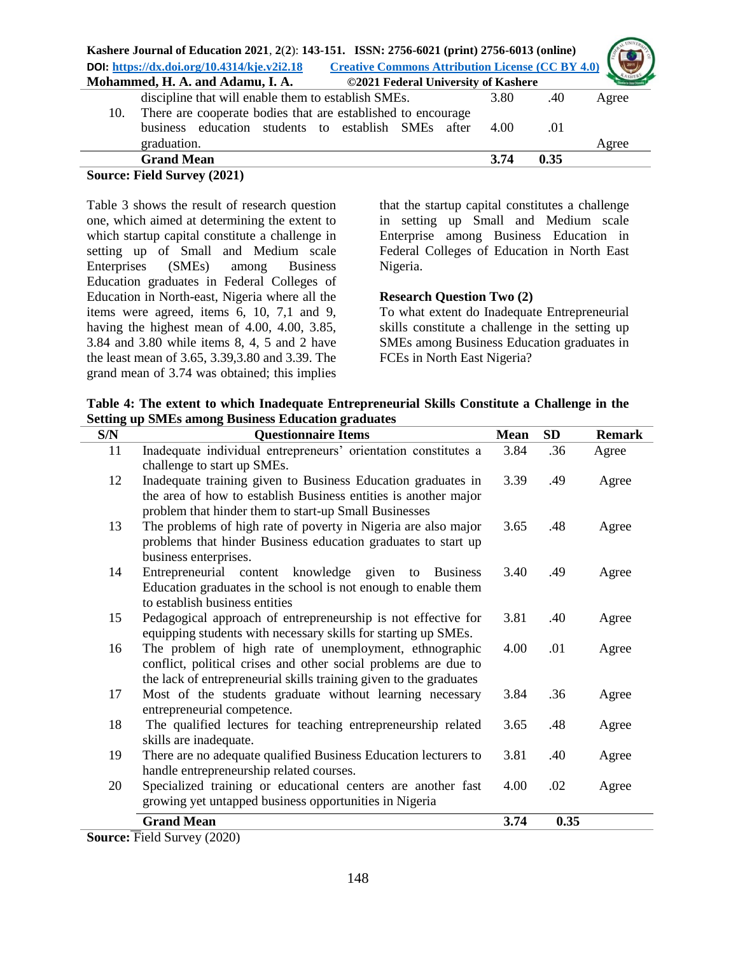| Kashere Journal of Education 2021, 2(2): 143-151. ISSN: 2756-6021 (print) 2756-6013 (online)           |       |
|--------------------------------------------------------------------------------------------------------|-------|
| <b>Creative Commons Attribution License (CC BY 4.0)</b><br>DOI: https://dx.doi.org/10.4314/kje.v2i2.18 |       |
| Mohammed, H. A. and Adamu, I. A.<br>©2021 Federal University of Kashere                                |       |
| discipline that will enable them to establish SMEs.<br>3.80<br>.40                                     | Agree |
| There are cooperate bodies that are established to encourage<br>10.                                    |       |
| business education students to establish SMEs after<br>.01<br>4.00                                     |       |
| graduation.                                                                                            | Agree |
| <b>Grand Mean</b><br>0.35<br>3.74                                                                      |       |

**Source: Field Survey (2021)** 

Table 3 shows the result of research question one, which aimed at determining the extent to which startup capital constitute a challenge in setting up of Small and Medium scale Enterprises (SMEs) among Business Education graduates in Federal Colleges of Education in North-east, Nigeria where all the items were agreed, items 6, 10, 7,1 and 9, having the highest mean of 4.00, 4.00, 3.85, 3.84 and 3.80 while items 8, 4, 5 and 2 have the least mean of 3.65, 3.39,3.80 and 3.39. The grand mean of 3.74 was obtained; this implies

that the startup capital constitutes a challenge in setting up Small and Medium scale Enterprise among Business Education in Federal Colleges of Education in North East Nigeria.

## **Research Question Two (2)**

To what extent do Inadequate Entrepreneurial skills constitute a challenge in the setting up SMEs among Business Education graduates in FCEs in North East Nigeria?

| Table 4: The extent to which Inadequate Entrepreneurial Skills Constitute a Challenge in the |
|----------------------------------------------------------------------------------------------|
| <b>Setting up SMEs among Business Education graduates</b>                                    |

| S/N    | <b>Questionnaire Items</b>                                                                                                                                                                                        | <b>Mean</b> | <b>SD</b> | <b>Remark</b> |
|--------|-------------------------------------------------------------------------------------------------------------------------------------------------------------------------------------------------------------------|-------------|-----------|---------------|
| 11     | Inadequate individual entrepreneurs' orientation constitutes a<br>challenge to start up SMEs.                                                                                                                     | 3.84        | .36       | Agree         |
| 12     | Inadequate training given to Business Education graduates in<br>the area of how to establish Business entities is another major                                                                                   | 3.39        | .49       | Agree         |
| 13     | problem that hinder them to start-up Small Businesses<br>The problems of high rate of poverty in Nigeria are also major<br>problems that hinder Business education graduates to start up<br>business enterprises. | 3.65        | .48       | Agree         |
| 14     | Entrepreneurial content knowledge given to<br><b>Business</b><br>Education graduates in the school is not enough to enable them<br>to establish business entities                                                 | 3.40        | .49       | Agree         |
| 15     | Pedagogical approach of entrepreneurship is not effective for<br>equipping students with necessary skills for starting up SMEs.                                                                                   | 3.81        | .40       | Agree         |
| 16     | The problem of high rate of unemployment, ethnographic<br>conflict, political crises and other social problems are due to<br>the lack of entrepreneurial skills training given to the graduates                   | 4.00        | .01       | Agree         |
| 17     | Most of the students graduate without learning necessary<br>entrepreneurial competence.                                                                                                                           | 3.84        | .36       | Agree         |
| 18     | The qualified lectures for teaching entrepreneurship related<br>skills are inadequate.                                                                                                                            | 3.65        | .48       | Agree         |
| 19     | There are no adequate qualified Business Education lecturers to<br>handle entrepreneurship related courses.                                                                                                       | 3.81        | .40       | Agree         |
| 20     | Specialized training or educational centers are another fast<br>growing yet untapped business opportunities in Nigeria                                                                                            | 4.00        | .02       | Agree         |
|        | <b>Grand Mean</b>                                                                                                                                                                                                 | 3.74        | 0.35      |               |
| $\sim$ | $\overline{P}$ 110 (0000)                                                                                                                                                                                         |             |           |               |

**Source:** Field Survey (2020)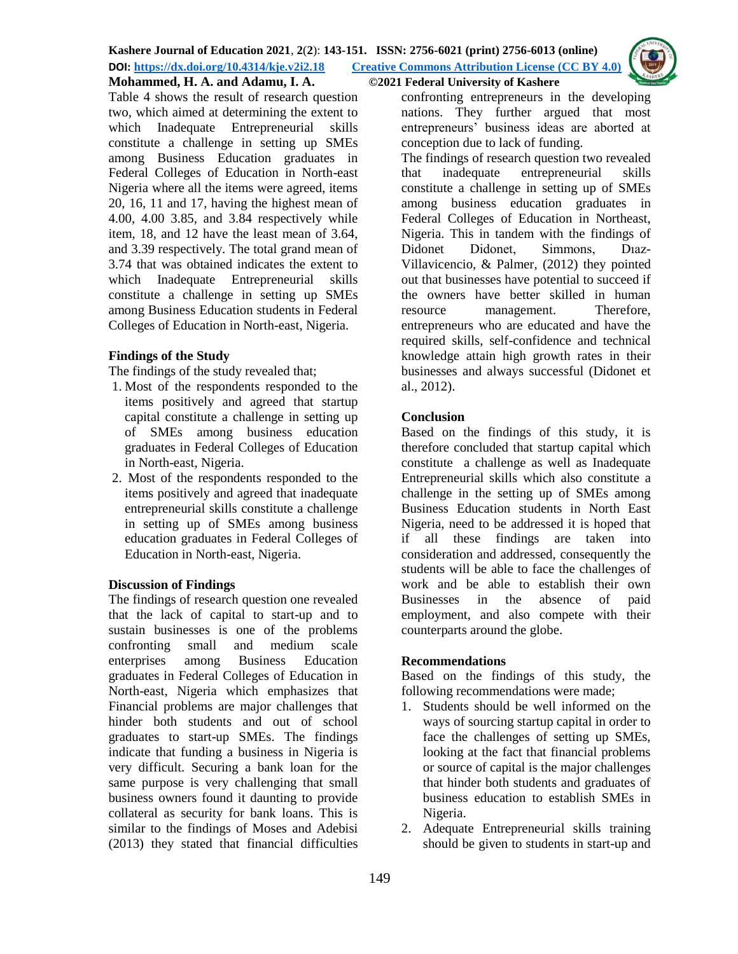

# **Mohammed, H. A. and Adamu, I. A. ©2021 Federal University of Kashere**

Table 4 shows the result of research question two, which aimed at determining the extent to which Inadequate Entrepreneurial skills constitute a challenge in setting up SMEs among Business Education graduates in Federal Colleges of Education in North-east Nigeria where all the items were agreed, items 20, 16, 11 and 17, having the highest mean of 4.00, 4.00 3.85, and 3.84 respectively while item, 18, and 12 have the least mean of 3.64, and 3.39 respectively. The total grand mean of 3.74 that was obtained indicates the extent to which Inadequate Entrepreneurial skills constitute a challenge in setting up SMEs among Business Education students in Federal Colleges of Education in North-east, Nigeria.

# **Findings of the Study**

The findings of the study revealed that;

- 1. Most of the respondents responded to the items positively and agreed that startup capital constitute a challenge in setting up of SMEs among business education graduates in Federal Colleges of Education in North-east, Nigeria.
- 2. Most of the respondents responded to the items positively and agreed that inadequate entrepreneurial skills constitute a challenge in setting up of SMEs among business education graduates in Federal Colleges of Education in North-east, Nigeria.

## **Discussion of Findings**

The findings of research question one revealed that the lack of capital to start-up and to sustain businesses is one of the problems confronting small and medium scale enterprises among Business Education graduates in Federal Colleges of Education in North-east, Nigeria which emphasizes that Financial problems are major challenges that hinder both students and out of school graduates to start-up SMEs. The findings indicate that funding a business in Nigeria is very difficult. Securing a bank loan for the same purpose is very challenging that small business owners found it daunting to provide collateral as security for bank loans. This is similar to the findings of Moses and Adebisi (2013) they stated that financial difficulties

confronting entrepreneurs in the developing nations. They further argued that most entrepreneurs' business ideas are aborted at conception due to lack of funding.

The findings of research question two revealed that inadequate entrepreneurial skills constitute a challenge in setting up of SMEs among business education graduates in Federal Colleges of Education in Northeast, Nigeria. This in tandem with the findings of Didonet Didonet, Simmons, Dıaz-Villavicencio, & Palmer, (2012) they pointed out that businesses have potential to succeed if the owners have better skilled in human resource management. Therefore, entrepreneurs who are educated and have the required skills, self-confidence and technical knowledge attain high growth rates in their businesses and always successful (Didonet et al., 2012).

## **Conclusion**

Based on the findings of this study, it is therefore concluded that startup capital which constitute a challenge as well as Inadequate Entrepreneurial skills which also constitute a challenge in the setting up of SMEs among Business Education students in North East Nigeria, need to be addressed it is hoped that if all these findings are taken into consideration and addressed, consequently the students will be able to face the challenges of work and be able to establish their own Businesses in the absence of paid employment, and also compete with their counterparts around the globe.

## **Recommendations**

Based on the findings of this study, the following recommendations were made;

- 1. Students should be well informed on the ways of sourcing startup capital in order to face the challenges of setting up SMEs, looking at the fact that financial problems or source of capital is the major challenges that hinder both students and graduates of business education to establish SMEs in Nigeria.
- 2. Adequate Entrepreneurial skills training should be given to students in start-up and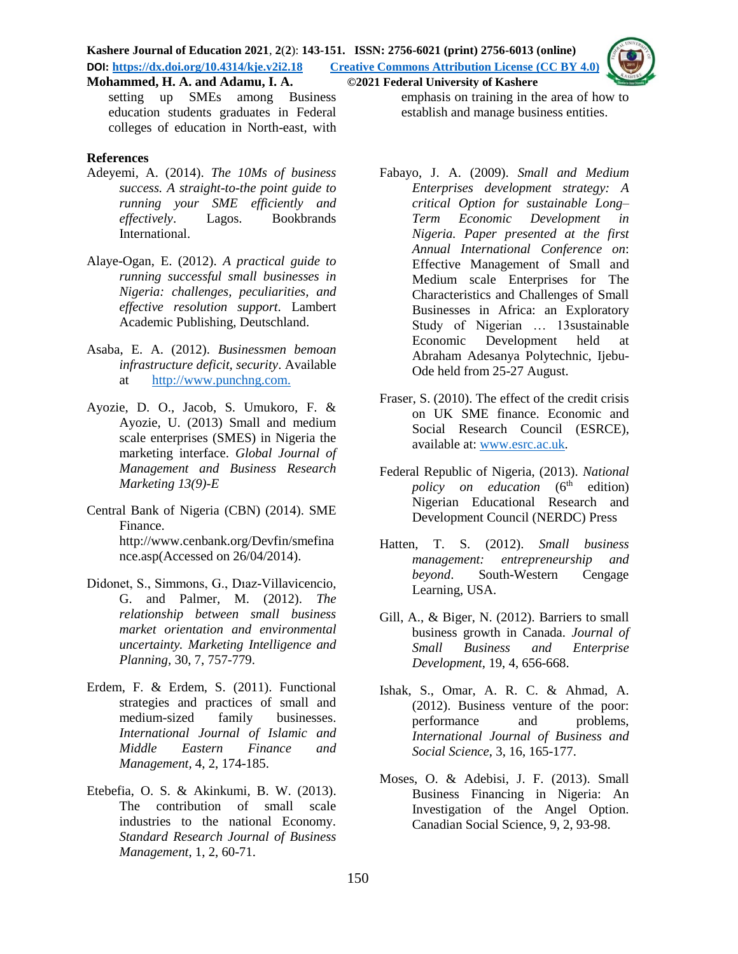setting up SMEs among Business education students graduates in Federal colleges of education in North-east, with

#### **References**

- Adeyemi, A. (2014). *The 10Ms of business success. A straight-to-the point guide to running your SME efficiently and effectively*. Lagos. Bookbrands International.
- Alaye-Ogan, E. (2012). *A practical guide to running successful small businesses in Nigeria: challenges, peculiarities, and effective resolution support.* Lambert Academic Publishing, Deutschland.
- Asaba, E. A. (2012). *Businessmen bemoan infrastructure deficit, security*. Available at [http://www.punchng.com.](http://www.punchng.com/)
- Ayozie, D. O., Jacob, S. Umukoro, F. & Ayozie, U. (2013) Small and medium scale enterprises (SMES) in Nigeria the marketing interface. *Global Journal of Management and Business Research Marketing 13(9)-E*
- Central Bank of Nigeria (CBN) (2014). SME Finance. http://www.cenbank.org/Devfin/smefina nce.asp(Accessed on 26/04/2014).
- Didonet, S., Simmons, G., Dıaz-Villavicencio, G. and Palmer, M. (2012). *The relationship between small business market orientation and environmental uncertainty. Marketing Intelligence and Planning,* 30, 7, 757-779.
- Erdem, F. & Erdem, S. (2011). Functional strategies and practices of small and medium-sized family businesses. *International Journal of Islamic and Middle Eastern Finance and Management,* 4, 2, 174-185.
- Etebefia, O. S. & Akinkumi, B. W. (2013). The contribution of small scale industries to the national Economy. *Standard Research Journal of Business Management*, 1, 2, 60-71.

emphasis on training in the area of how to establish and manage business entities.

- Fabayo, J. A. (2009). *Small and Medium Enterprises development strategy: A critical Option for sustainable Long– Term Economic Development in Nigeria. Paper presented at the first Annual International Conference on*: Effective Management of Small and Medium scale Enterprises for The Characteristics and Challenges of Small Businesses in Africa: an Exploratory Study of Nigerian … 13sustainable Economic Development held at Abraham Adesanya Polytechnic, Ijebu-Ode held from 25-27 August.
- Fraser, S. (2010). The effect of the credit crisis on UK SME finance. Economic and Social Research Council (ESRCE), available at: [www.esrc.ac.uk.](http://www.esrc.ac.uk/)
- Federal Republic of Nigeria, (2013). *National policy on education* (6<sup>th</sup> edition) Nigerian Educational Research and Development Council (NERDC) Press
- Hatten, T. S. (2012). *Small business management: entrepreneurship and beyond*. South-Western Cengage Learning, USA.
- Gill, A., & Biger, N. (2012). Barriers to small business growth in Canada. *Journal of Small Business and Enterprise Development,* 19, 4, 656-668.
- Ishak, S., Omar, A. R. C. & Ahmad, A. (2012). Business venture of the poor: performance and problems, *International Journal of Business and Social Science*, 3, 16, 165-177.
- Moses, O. & Adebisi, J. F. (2013). Small Business Financing in Nigeria: An Investigation of the Angel Option. Canadian Social Science, 9, 2, 93-98.